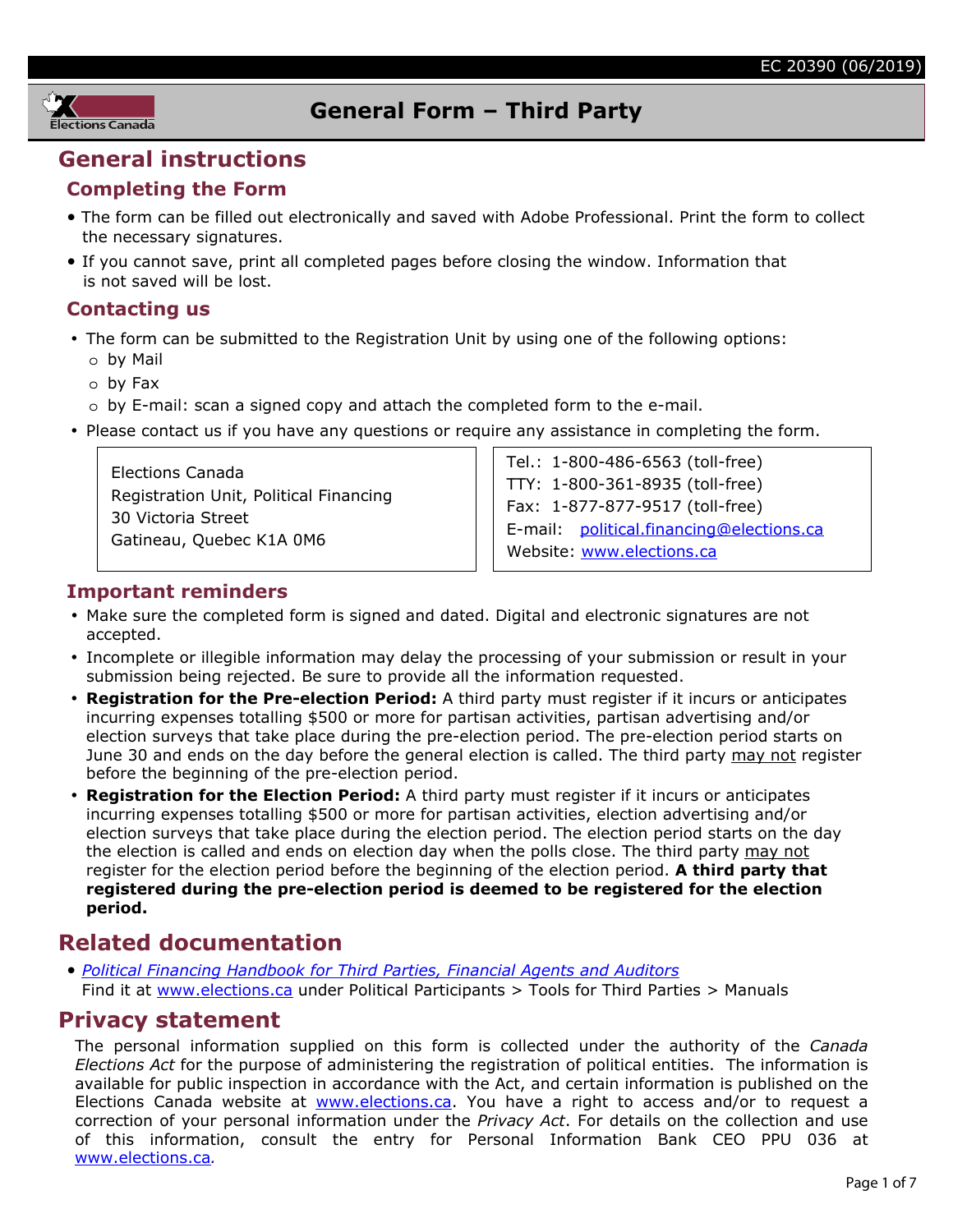

# **General instructions**

# **Completing the Form**

- The form can be filled out electronically and saved with Adobe Professional. Print the form to collect the necessary signatures.
- If you cannot save, print all completed pages before closing the window. Information that is not saved will be lost.

# **Contacting us**

- The form can be submitted to the Registration Unit by using one of the following options:
	- o by Mail
	- o by Fax
	- o by E-mail: scan a signed copy and attach the completed form to the e-mail.
- Please contact us if you have any questions or require any assistance in completing the form.

Elections Canada Registration Unit, Political Financing 30 Victoria Street Gatineau, Quebec K1A 0M6

Tel.: 1-800-486-6563 (toll-free) TTY: 1-800-361-8935 (toll-free) Fax: 1-877-877-9517 (toll-free) E-mail: [political.financing@elections.ca](mailto:political.financing@elections.ca) Website: <www.elections.ca>

# **Important reminders**

- Make sure the completed form is signed and dated. Digital and electronic signatures are not accepted.
- Incomplete or illegible information may delay the processing of your submission or result in your submission being rejected. Be sure to provide all the information requested.
- **Registration for the Pre-election Period:** A third party must register if it incurs or anticipates incurring expenses totalling \$500 or more for partisan activities, partisan advertising and/or election surveys that take place during the pre-election period. The pre-election period starts on June 30 and ends on the day before the general election is called. The third party may not register before the beginning of the pre-election period.
- **Registration for the Election Period:** A third party must register if it incurs or anticipates incurring expenses totalling \$500 or more for partisan activities, election advertising and/or election surveys that take place during the election period. The election period starts on the day the election is called and ends on election day when the polls close. The third party may not register for the election period before the beginning of the election period. **A third party that registered during the pre-election period is deemed to be registered for the election period.**

# **Related documentation**

• *[Political Financing Handbook for Third Parties, Financial Agents and Auditors](https://www.elections.ca/content.aspx?section=pol&document=index&dir=thi/ec20227&lang=e)* Find it at <www.elections.ca> under Political Participants > Tools for Third Parties > Manuals

# **Privacy statement**

The personal information supplied on this form is collected under the authority of the *Canada Elections Act* for the purpose of administering the registration of political entities. The information is available for public inspection in accordance with the Act, and certain information is published on the Elections Canada website at **<www.elections.ca>**. You have a right to access and/or to request a correction of your personal information under the *Privacy Act*. For details on the collection and use of this information, consult the entry for Personal Information Bank CEO PPU 036 at [www.elections.ca](https://www.elections.ca/content.aspx?section=abo&dir=atip/info&document=p8&lang=e#Political_Entities_(PIB))*.*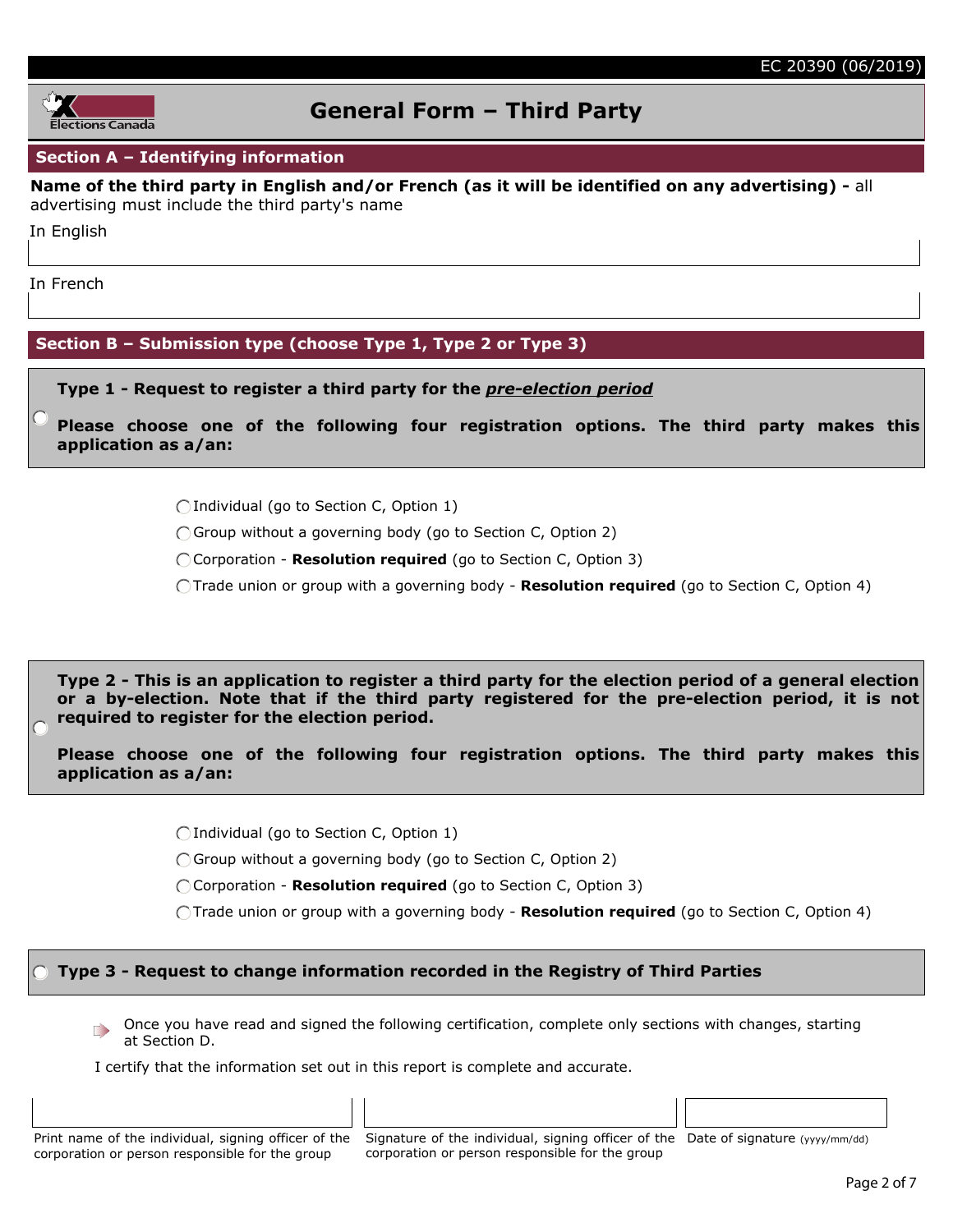

## **Section A – Identifying information**

**Name of the third party in English and/or French (as it will be identified on any advertising) -** all advertising must include the third party's name

In English

In French

## **Section B – Submission type (choose Type 1, Type 2 or Type 3)**

**Type 1 - Request to register a third party for the** *pre-election period* 

**Please choose one of the following four registration options. The third party makes this application as a/an:**

◯ Individual (go to Section C, Option 1)

 $\bigcirc$  Group without a governing body (go to Section C, Option 2)

Corporation - **Resolution required** (go to Section C, Option 3)

Trade union or group with a governing body - **Resolution required** (go to Section C, Option 4)

**Type 2 - This is an application to register a third party for the election period of a general election or a by-election. Note that if the third party registered for the pre-election period, it is not required to register for the election period.** 

**Please choose one of the following four registration options. The third party makes this application as a/an:**

 $\bigcap$ Individual (go to Section C, Option 1)

 $\bigcirc$  Group without a governing body (go to Section C, Option 2)

Corporation - **Resolution required** (go to Section C, Option 3)

Trade union or group with a governing body - **Resolution required** (go to Section C, Option 4)

## **Type 3 - Request to change information recorded in the Registry of Third Parties**

Once you have read and signed the following certification, complete only sections with changes, starting at Section D.

I certify that the information set out in this report is complete and accurate.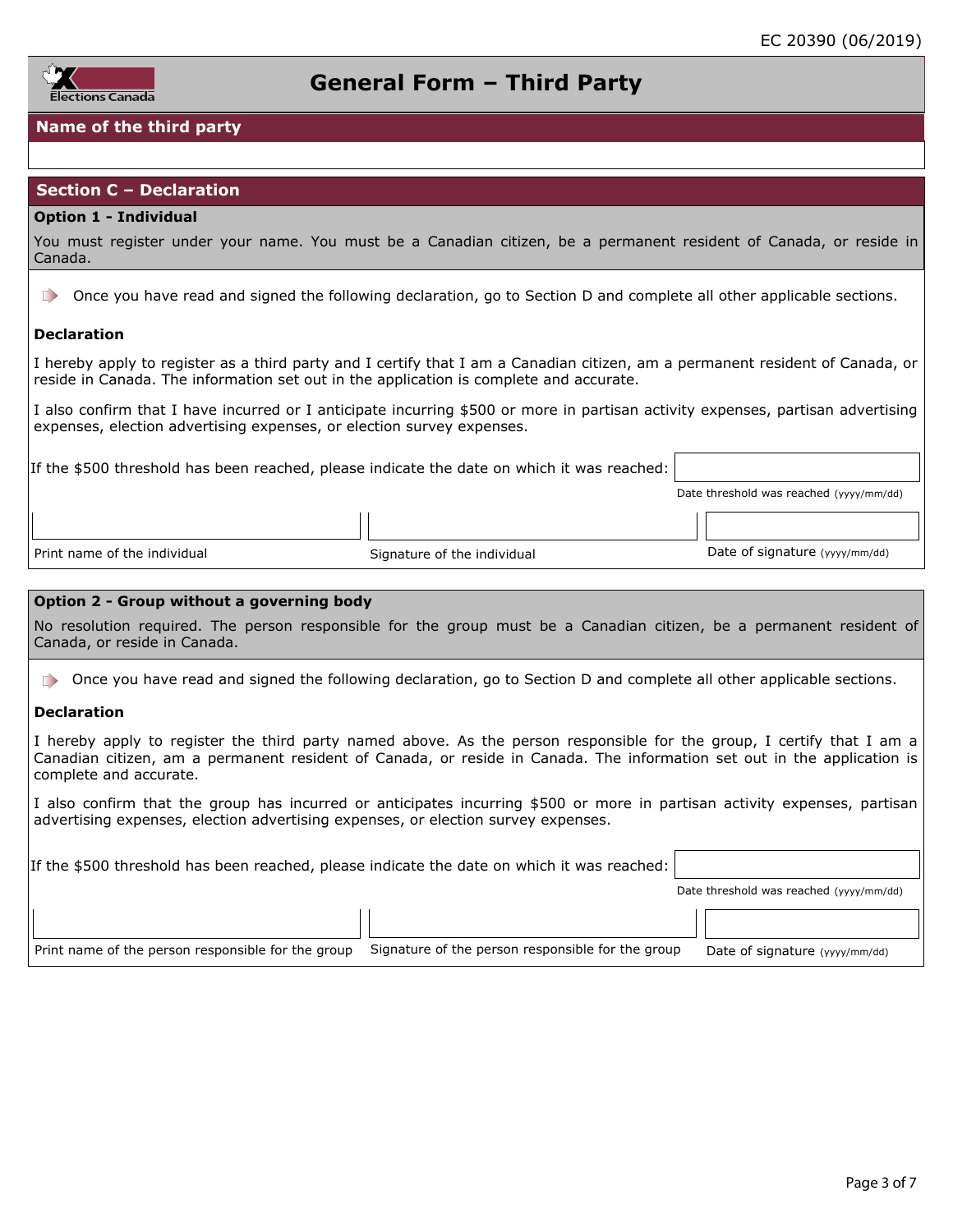

## **Name of the third party**

## **Section C – Declaration**

#### **Option 1 - Individual**

You must register under your name. You must be a Canadian citizen, be a permanent resident of Canada, or reside in Canada.

Once you have read and signed the following declaration, go to Section D and complete all other applicable sections.  $\Box$ 

#### **Declaration**

I hereby apply to register as a third party and I certify that I am a Canadian citizen, am a permanent resident of Canada, or reside in Canada. The information set out in the application is complete and accurate.

I also confirm that I have incurred or I anticipate incurring \$500 or more in partisan activity expenses, partisan advertising expenses, election advertising expenses, or election survey expenses.

If the \$500 threshold has been reached, please indicate the date on which it was reached:

Date threshold was reached (yyyy/mm/dd)

Print name of the individual Signature of the individual Date of signature (yyyy/mm/dd)

#### **Option 2 - Group without a governing body**

No resolution required. The person responsible for the group must be a Canadian citizen, be a permanent resident of Canada, or reside in Canada.

Once you have read and signed the following declaration, go to Section D and complete all other applicable sections.

#### **Declaration**

I hereby apply to register the third party named above. As the person responsible for the group, I certify that I am a Canadian citizen, am a permanent resident of Canada, or reside in Canada. The information set out in the application is complete and accurate.

I also confirm that the group has incurred or anticipates incurring \$500 or more in partisan activity expenses, partisan advertising expenses, election advertising expenses, or election survey expenses.

| If the \$500 threshold has been reached, please indicate the date on which it was reached: |                                                   |                                         |
|--------------------------------------------------------------------------------------------|---------------------------------------------------|-----------------------------------------|
|                                                                                            |                                                   | Date threshold was reached (yyyy/mm/dd) |
|                                                                                            |                                                   |                                         |
| Print name of the person responsible for the group                                         | Signature of the person responsible for the group | Date of signature (yyyy/mm/dd)          |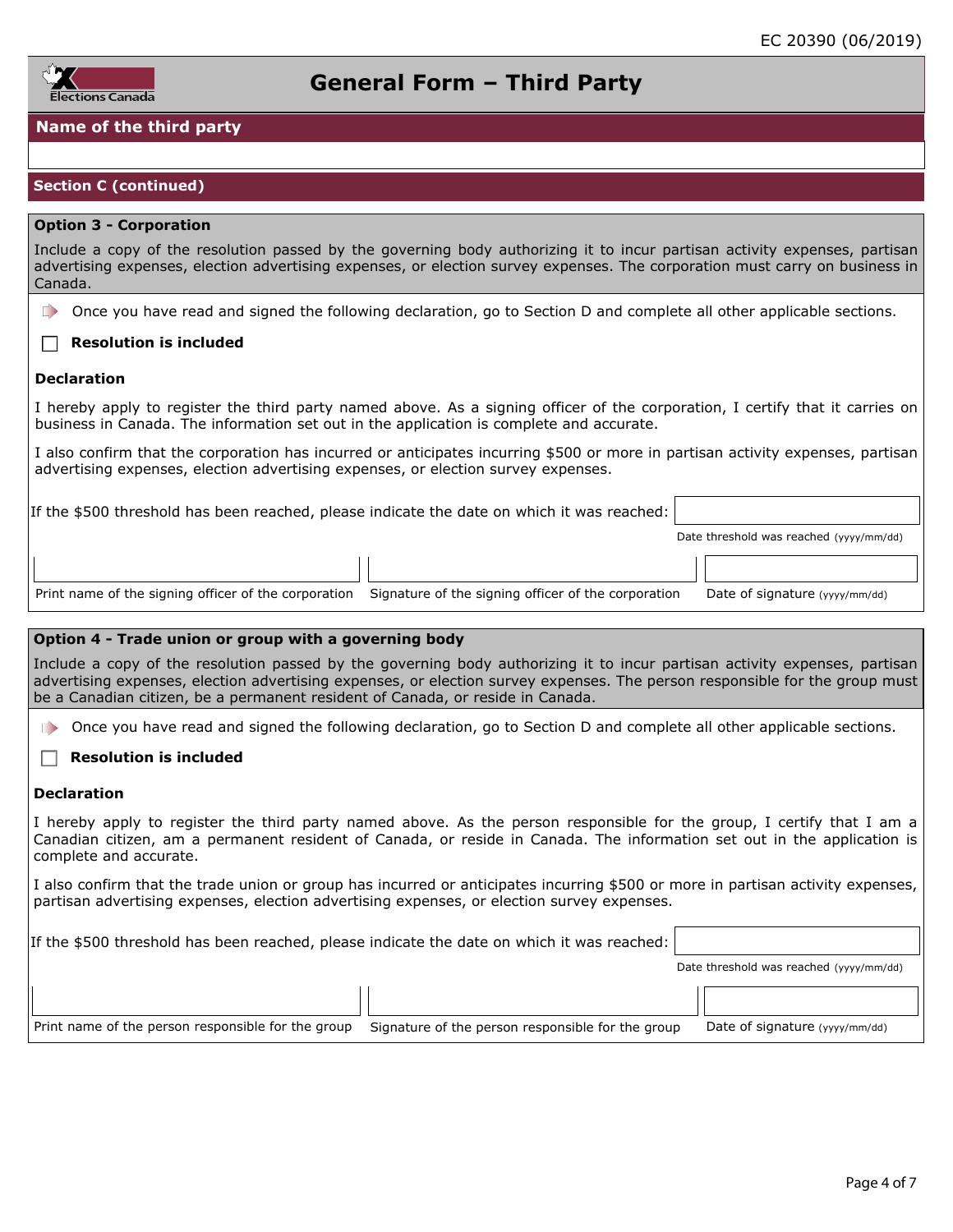

### **Name of the third party**

## **Section C (continued)**

#### **Option 3 - Corporation**

Include a copy of the resolution passed by the governing body authorizing it to incur partisan activity expenses, partisan advertising expenses, election advertising expenses, or election survey expenses. The corporation must carry on business in Canada.

 $\Box$  Once you have read and signed the following declaration, go to Section D and complete all other applicable sections.

#### **Resolution is included**

#### **Declaration**

I hereby apply to register the third party named above. As a signing officer of the corporation, I certify that it carries on business in Canada. The information set out in the application is complete and accurate.

I also confirm that the corporation has incurred or anticipates incurring \$500 or more in partisan activity expenses, partisan advertising expenses, election advertising expenses, or election survey expenses.

| If the \$500 threshold has been reached, please indicate the date on which it was reached: |                                                     |                                         |
|--------------------------------------------------------------------------------------------|-----------------------------------------------------|-----------------------------------------|
|                                                                                            |                                                     | Date threshold was reached (yyyy/mm/dd) |
|                                                                                            |                                                     |                                         |
| Print name of the signing officer of the corporation                                       | Signature of the signing officer of the corporation | Date of signature (yyyy/mm/dd)          |

#### **Option 4 - Trade union or group with a governing body**

Include a copy of the resolution passed by the governing body authorizing it to incur partisan activity expenses, partisan advertising expenses, election advertising expenses, or election survey expenses. The person responsible for the group must be a Canadian citizen, be a permanent resident of Canada, or reside in Canada.

 $\Box$ Once you have read and signed the following declaration, go to Section D and complete all other applicable sections.

#### **Resolution is included**

#### **Declaration**

I hereby apply to register the third party named above. As the person responsible for the group, I certify that I am a Canadian citizen, am a permanent resident of Canada, or reside in Canada. The information set out in the application is complete and accurate.

I also confirm that the trade union or group has incurred or anticipates incurring \$500 or more in partisan activity expenses, partisan advertising expenses, election advertising expenses, or election survey expenses.

| If the \$500 threshold has been reached, please indicate the date on which it was reached: |                                                   |                                         |
|--------------------------------------------------------------------------------------------|---------------------------------------------------|-----------------------------------------|
|                                                                                            |                                                   | Date threshold was reached (yyyy/mm/dd) |
|                                                                                            |                                                   |                                         |
| Print name of the person responsible for the group                                         | Signature of the person responsible for the group | Date of signature (yyyy/mm/dd)          |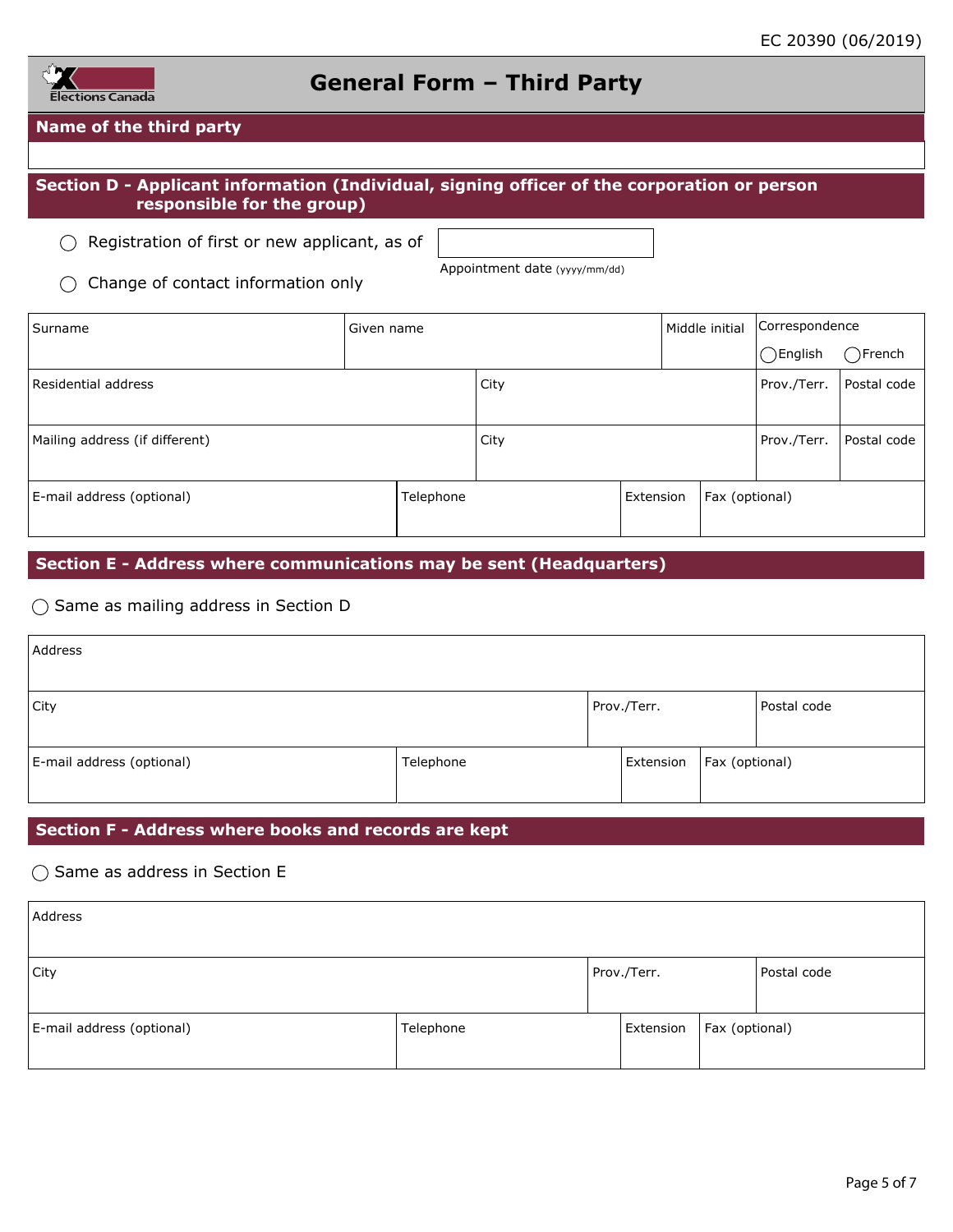

## **Name of the third party**

# **Section D - Applicant information (Individual, signing officer of the corporation or person responsible for the group)**

 $\bigcirc$  Registration of first or new applicant, as of

Appointment date (yyyy/mm/dd)

# $\bigcirc$  Change of contact information only

| Surname                        | Given name |      |           | Correspondence<br>Middle initial |                   |             |
|--------------------------------|------------|------|-----------|----------------------------------|-------------------|-------------|
|                                |            |      |           |                                  | $\bigcap$ English | ◯French     |
| Residential address            |            | City |           |                                  | Prov./Terr.       | Postal code |
|                                |            |      |           |                                  |                   |             |
| Mailing address (if different) |            | City |           |                                  | Prov./Terr.       | Postal code |
|                                |            |      |           |                                  |                   |             |
| E-mail address (optional)      | Telephone  |      | Extension | Fax (optional)                   |                   |             |
|                                |            |      |           |                                  |                   |             |

# **Section E - Address where communications may be sent (Headquarters)**

## $\bigcirc$  Same as mailing address in Section D

| Address                   |           |             |                            |             |
|---------------------------|-----------|-------------|----------------------------|-------------|
| City                      |           | Prov./Terr. |                            | Postal code |
| E-mail address (optional) | Telephone |             | Extension   Fax (optional) |             |

# **Section F - Address where books and records are kept**

# $\bigcirc$  Same as address in Section E

| Address                   |           |             |                |             |
|---------------------------|-----------|-------------|----------------|-------------|
| City                      |           | Prov./Terr. |                | Postal code |
| E-mail address (optional) | Telephone | Extension   | Fax (optional) |             |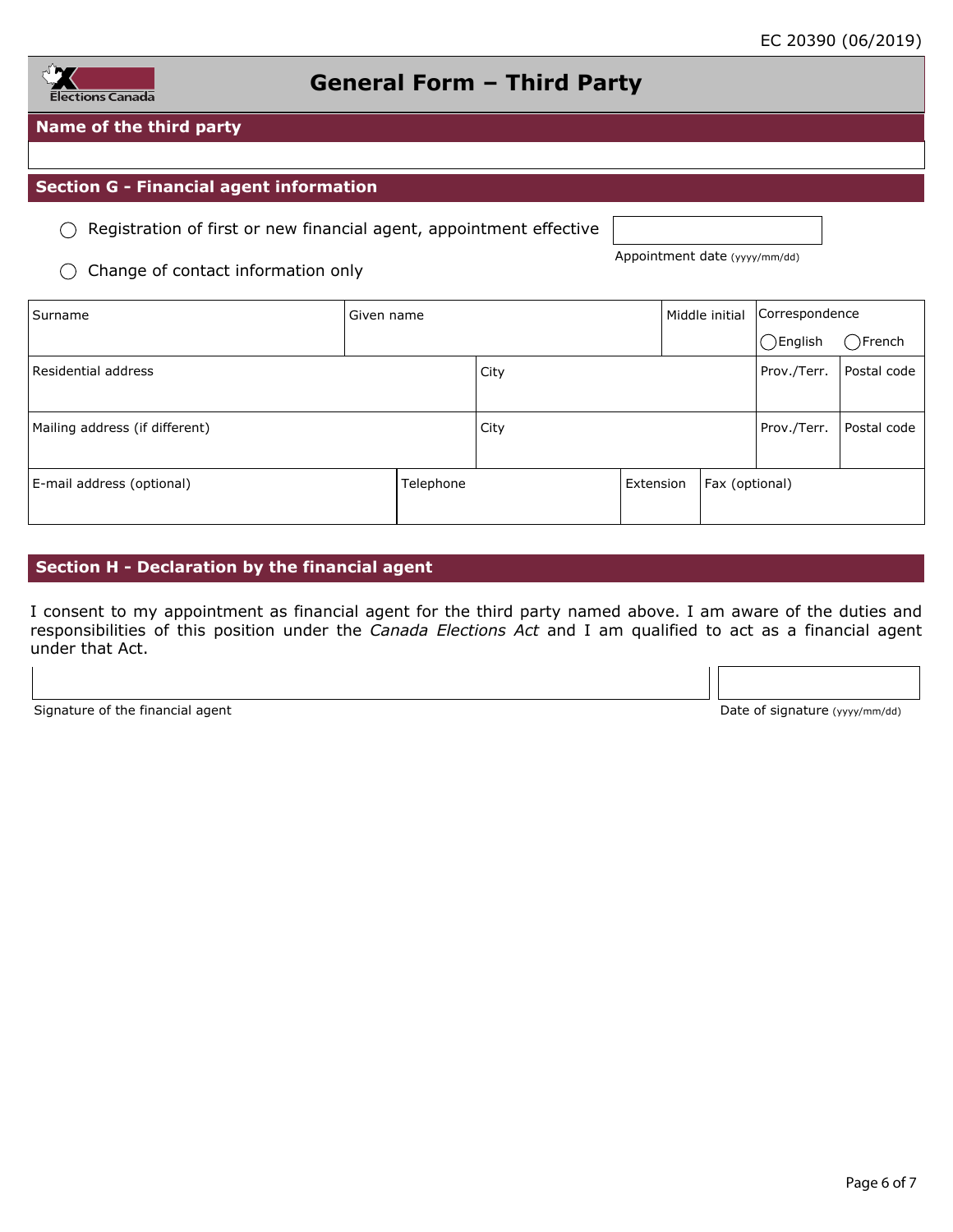

**Name of the third party**

# **Section G - Financial agent information**

 $\bigcirc$  Registration of first or new financial agent, appointment effective

 $\bigcirc$  Change of contact information only

Appointment date (yyyy/mm/dd)

| l Surname                      | Given name |  |      |           | Middle initial | Correspondence     |                  |
|--------------------------------|------------|--|------|-----------|----------------|--------------------|------------------|
|                                |            |  |      |           |                | $\bigcirc$ English | $\bigcap$ French |
| Residential address            |            |  | City |           |                | Prov./Terr.        | Postal code      |
|                                |            |  |      |           |                |                    |                  |
| Mailing address (if different) |            |  | City |           |                | Prov./Terr.        | Postal code      |
|                                |            |  |      |           |                |                    |                  |
| E-mail address (optional)      | Telephone  |  |      | Extension | Fax (optional) |                    |                  |
|                                |            |  |      |           |                |                    |                  |

# **Section H - Declaration by the financial agent**

I consent to my appointment as financial agent for the third party named above. I am aware of the duties and responsibilities of this position under the *Canada Elections Act* and I am qualified to act as a financial agent under that Act.

Signature of the financial agent and the state of signature (yyyy/mm/dd) Date of signature (yyyy/mm/dd)